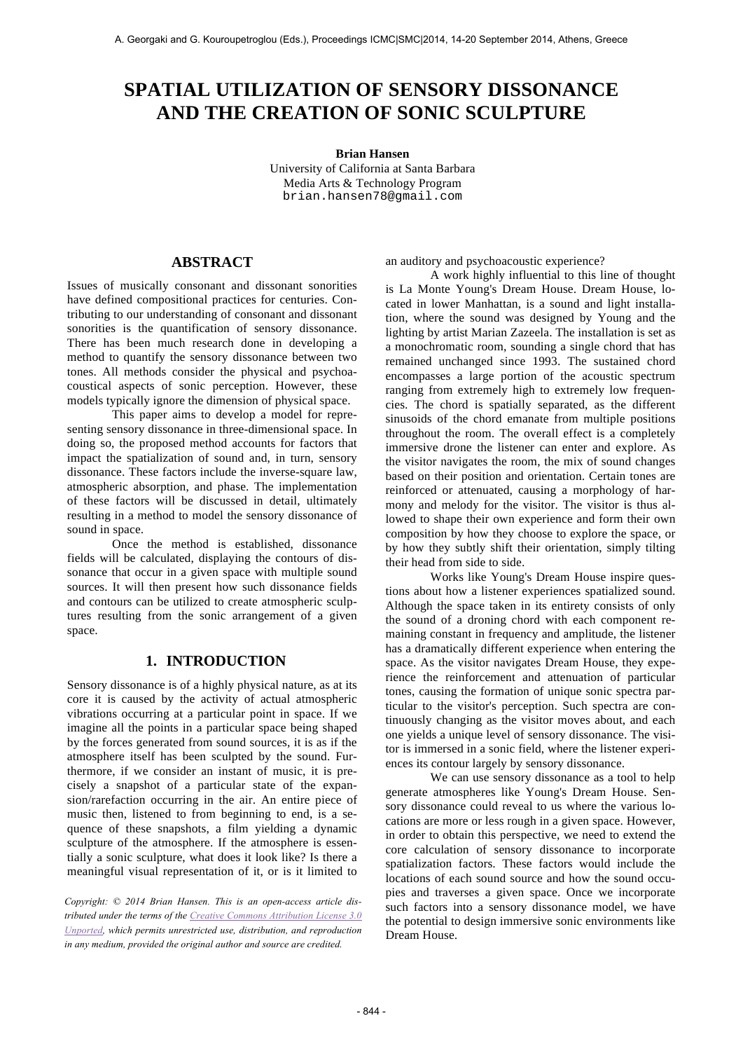## **SPATIAL UTILIZATION OF SENSORY DISSONANCE AND THE CREATION OF SONIC SCULPTURE**

#### **Brian Hansen**

University of California at Santa Barbara Media Arts & Technology Program brian.hansen78@gmail.com

## **ABSTRACT**

Issues of musically consonant and dissonant sonorities have defined compositional practices for centuries. Contributing to our understanding of consonant and dissonant sonorities is the quantification of sensory dissonance. There has been much research done in developing a method to quantify the sensory dissonance between two tones. All methods consider the physical and psychoacoustical aspects of sonic perception. However, these models typically ignore the dimension of physical space.

This paper aims to develop a model for representing sensory dissonance in three-dimensional space. In doing so, the proposed method accounts for factors that impact the spatialization of sound and, in turn, sensory dissonance. These factors include the inverse-square law, atmospheric absorption, and phase. The implementation of these factors will be discussed in detail, ultimately resulting in a method to model the sensory dissonance of sound in space.

Once the method is established, dissonance fields will be calculated, displaying the contours of dissonance that occur in a given space with multiple sound sources. It will then present how such dissonance fields and contours can be utilized to create atmospheric sculptures resulting from the sonic arrangement of a given space.

## **1. INTRODUCTION**

Sensory dissonance is of a highly physical nature, as at its core it is caused by the activity of actual atmospheric vibrations occurring at a particular point in space. If we imagine all the points in a particular space being shaped by the forces generated from sound sources, it is as if the atmosphere itself has been sculpted by the sound. Furthermore, if we consider an instant of music, it is precisely a snapshot of a particular state of the expansion/rarefaction occurring in the air. An entire piece of music then, listened to from beginning to end, is a sequence of these snapshots, a film yielding a dynamic sculpture of the atmosphere. If the atmosphere is essentially a sonic sculpture, what does it look like? Is there a meaningful visual representation of it, or is it limited to

*Copyright: © 2014 Brian Hansen. This is an open-access article distributed under the terms of the Creative Commons Attribution License 3.0 Unported, which permits unrestricted use, distribution, and reproduction in any medium, provided the original author and source are credited.*

an auditory and psychoacoustic experience?

A work highly influential to this line of thought is La Monte Young's Dream House. Dream House, located in lower Manhattan, is a sound and light installation, where the sound was designed by Young and the lighting by artist Marian Zazeela. The installation is set as a monochromatic room, sounding a single chord that has remained unchanged since 1993. The sustained chord encompasses a large portion of the acoustic spectrum ranging from extremely high to extremely low frequencies. The chord is spatially separated, as the different sinusoids of the chord emanate from multiple positions throughout the room. The overall effect is a completely immersive drone the listener can enter and explore. As the visitor navigates the room, the mix of sound changes based on their position and orientation. Certain tones are reinforced or attenuated, causing a morphology of harmony and melody for the visitor. The visitor is thus allowed to shape their own experience and form their own composition by how they choose to explore the space, or by how they subtly shift their orientation, simply tilting their head from side to side.

Works like Young's Dream House inspire questions about how a listener experiences spatialized sound. Although the space taken in its entirety consists of only the sound of a droning chord with each component remaining constant in frequency and amplitude, the listener has a dramatically different experience when entering the space. As the visitor navigates Dream House, they experience the reinforcement and attenuation of particular tones, causing the formation of unique sonic spectra particular to the visitor's perception. Such spectra are continuously changing as the visitor moves about, and each one yields a unique level of sensory dissonance. The visitor is immersed in a sonic field, where the listener experiences its contour largely by sensory dissonance.

We can use sensory dissonance as a tool to help generate atmospheres like Young's Dream House. Sensory dissonance could reveal to us where the various locations are more or less rough in a given space. However, in order to obtain this perspective, we need to extend the core calculation of sensory dissonance to incorporate spatialization factors. These factors would include the locations of each sound source and how the sound occupies and traverses a given space. Once we incorporate such factors into a sensory dissonance model, we have the potential to design immersive sonic environments like Dream House.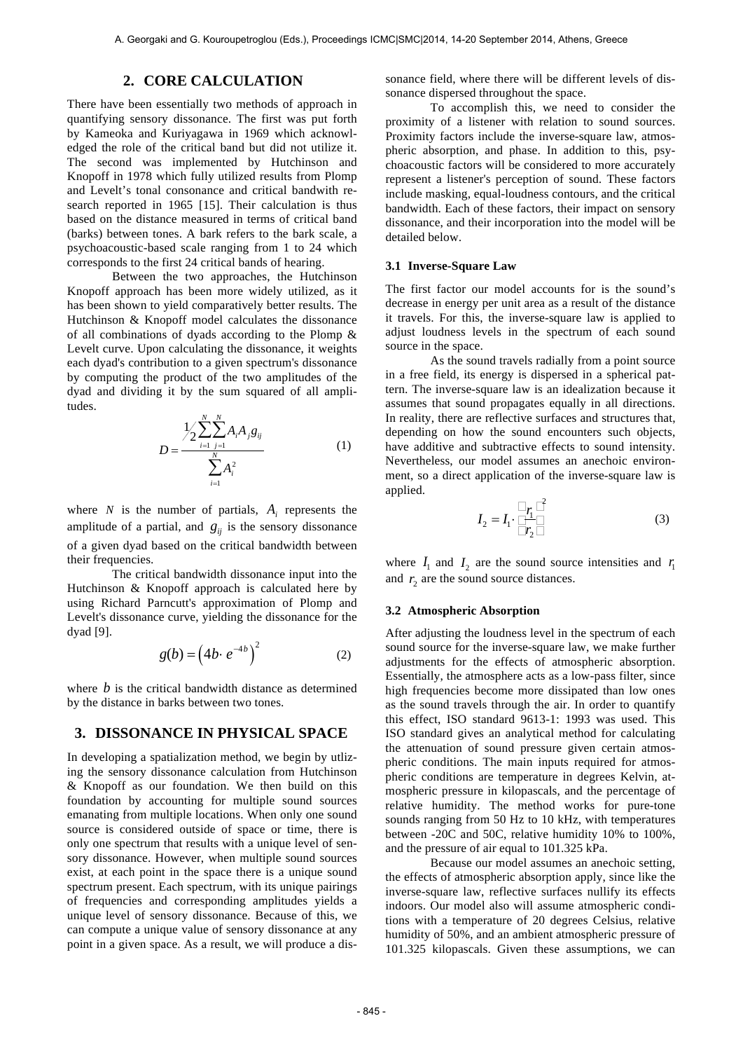## **2. CORE CALCULATION**

There have been essentially two methods of approach in quantifying sensory dissonance. The first was put forth by Kameoka and Kuriyagawa in 1969 which acknowledged the role of the critical band but did not utilize it. The second was implemented by Hutchinson and Knopoff in 1978 which fully utilized results from Plomp and Levelt's tonal consonance and critical bandwith research reported in 1965 [15]. Their calculation is thus based on the distance measured in terms of critical band (barks) between tones. A bark refers to the bark scale, a psychoacoustic-based scale ranging from 1 to 24 which corresponds to the first 24 critical bands of hearing.

Between the two approaches, the Hutchinson Knopoff approach has been more widely utilized, as it has been shown to yield comparatively better results. The Hutchinson & Knopoff model calculates the dissonance of all combinations of dyads according to the Plomp & Levelt curve. Upon calculating the dissonance, it weights each dyad's contribution to a given spectrum's dissonance by computing the product of the two amplitudes of the dyad and dividing it by the sum squared of all amplitudes.

$$
D = \frac{\frac{1}{2} \sum_{i=1}^{N} \sum_{j=1}^{N} A_i A_j g_{ij}}{\sum_{i=1}^{N} A_i^2}
$$
 (1)

amplitude of a partial, and  $g_{ij}$  is the sensory dissonance where  $N$  is the number of partials,  $A_i$  represents the their frequencies. of a given dyad based on the critical bandwidth between

The critical bandwidth dissonance input into the Hutchinson & Knopoff approach is calculated here by using Richard Parncutt's approximation of Plomp and Levelt's dissonance curve, yielding the dissonance for the dyad [9].

$$
g(b) = \left(4b \cdot e^{-4b}\right)^2\tag{2}
$$

where  $b$  is the critical bandwidth distance as determined by the distance in barks between two tones.

# € **3. DISSONANCE IN PHYSICAL SPACE**

In developing a spatialization method, we begin by utlizing the sensory dissonance calculation from Hutchinson & Knopoff as our foundation. We then build on this foundation by accounting for multiple sound sources emanating from multiple locations. When only one sound source is considered outside of space or time, there is only one spectrum that results with a unique level of sensory dissonance. However, when multiple sound sources exist, at each point in the space there is a unique sound spectrum present. Each spectrum, with its unique pairings of frequencies and corresponding amplitudes yields a unique level of sensory dissonance. Because of this, we can compute a unique value of sensory dissonance at any point in a given space. As a result, we will produce a dissonance field, where there will be different levels of dissonance dispersed throughout the space.

To accomplish this, we need to consider the proximity of a listener with relation to sound sources. Proximity factors include the inverse-square law, atmospheric absorption, and phase. In addition to this, psychoacoustic factors will be considered to more accurately represent a listener's perception of sound. These factors include masking, equal-loudness contours, and the critical bandwidth. Each of these factors, their impact on sensory dissonance, and their incorporation into the model will be detailed below.

### **3.1 Inverse-Square Law**

The first factor our model accounts for is the sound's decrease in energy per unit area as a result of the distance it travels. For this, the inverse-square law is applied to adjust loudness levels in the spectrum of each sound source in the space.

As the sound travels radially from a point source in a free field, its energy is dispersed in a spherical pattern. The inverse-square law is an idealization because it assumes that sound propagates equally in all directions. In reality, there are reflective surfaces and structures that, depending on how the sound encounters such objects, have additive and subtractive effects to sound intensity. Nevertheless, our model assumes an anechoic environment, so a direct application of the inverse-square law is applied.

$$
I_2 = I_1 \cdot \frac{\square_{r_1} \square^2}{\square_{r_2} \square}
$$
 (3)

where  $I_1$  and  $I_2$  are the sound source intensities and  $r_1$ and  $r_2$  are the sound source distances.

#### **3.2 Atmospheric Absorption**

After adjusting the loudness level in the spectrum of each sound source for the inverse-square law, we make further adjustments for the effects of atmospheric absorption. Essentially, the atmosphere acts as a low-pass filter, since high frequencies become more dissipated than low ones as the sound travels through the air. In order to quantify this effect, ISO standard 9613-1: 1993 was used. This ISO standard gives an analytical method for calculating the attenuation of sound pressure given certain atmospheric conditions. The main inputs required for atmospheric conditions are temperature in degrees Kelvin, atmospheric pressure in kilopascals, and the percentage of relative humidity. The method works for pure-tone sounds ranging from 50 Hz to 10 kHz, with temperatures between -20C and 50C, relative humidity 10% to 100%, and the pressure of air equal to 101.325 kPa.

Because our model assumes an anechoic setting, the effects of atmospheric absorption apply, since like the inverse-square law, reflective surfaces nullify its effects indoors. Our model also will assume atmospheric conditions with a temperature of 20 degrees Celsius, relative humidity of 50%, and an ambient atmospheric pressure of 101.325 kilopascals. Given these assumptions, we can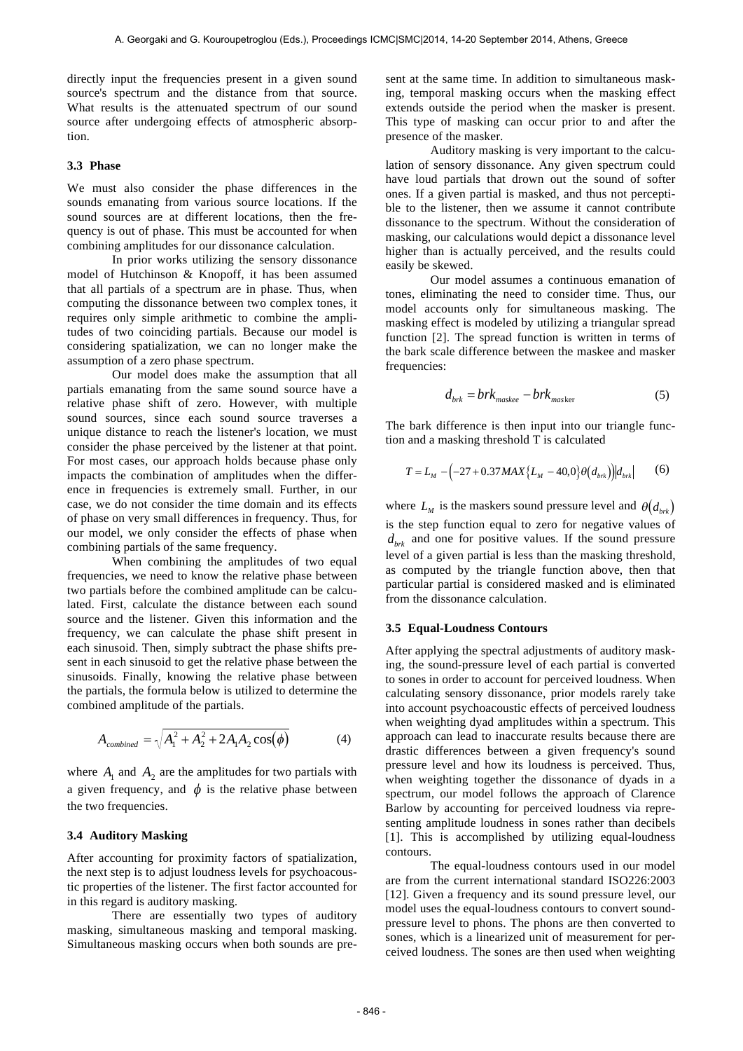directly input the frequencies present in a given sound source's spectrum and the distance from that source. What results is the attenuated spectrum of our sound source after undergoing effects of atmospheric absorption.

#### **3.3 Phase**

We must also consider the phase differences in the sounds emanating from various source locations. If the sound sources are at different locations, then the frequency is out of phase. This must be accounted for when combining amplitudes for our dissonance calculation.

In prior works utilizing the sensory dissonance model of Hutchinson & Knopoff, it has been assumed that all partials of a spectrum are in phase. Thus, when computing the dissonance between two complex tones, it requires only simple arithmetic to combine the amplitudes of two coinciding partials. Because our model is considering spatialization, we can no longer make the assumption of a zero phase spectrum.

Our model does make the assumption that all partials emanating from the same sound source have a relative phase shift of zero. However, with multiple sound sources, since each sound source traverses a unique distance to reach the listener's location, we must consider the phase perceived by the listener at that point. For most cases, our approach holds because phase only impacts the combination of amplitudes when the difference in frequencies is extremely small. Further, in our case, we do not consider the time domain and its effects of phase on very small differences in frequency. Thus, for our model, we only consider the effects of phase when combining partials of the same frequency.

When combining the amplitudes of two equal frequencies, we need to know the relative phase between two partials before the combined amplitude can be calcu-Inted. First, calculate the distance between each sound source and the listener. Given this information and the frequency, we can calculate the phase shift present in each sinusoid. Then, simply subtract the phase shifts present in each sinusoid to get the relative phase between the sinusoids. Finally, knowing the relative phase between the partials, the formula below is utilized to determine the combined amplitude of the partials.

$$
A_{combined} = \sqrt{A_1^2 + A_2^2 + 2A_1A_2\cos(\phi)}
$$
 (4)

where  $A_1$  and  $A_2$  are the amplitudes for two partials with a given frequency, and  $\phi$  is the relative phase between the two frequencies.

## € **3.4 Auditory Masking**

After accounting for proximity factors of spatialization, the next step is to adjust loudness levels for psychoacoustic properties of the listener. The first factor accounted for in this regard is auditory masking.

There are essentially two types of auditory masking, simultaneous masking and temporal masking. Simultaneous masking occurs when both sounds are present at the same time. In addition to simultaneous masking, temporal masking occurs when the masking effect extends outside the period when the masker is present. This type of masking can occur prior to and after the presence of the masker.

Auditory masking is very important to the calculation of sensory dissonance. Any given spectrum could have loud partials that drown out the sound of softer ones. If a given partial is masked, and thus not perceptible to the listener, then we assume it cannot contribute dissonance to the spectrum. Without the consideration of masking, our calculations would depict a dissonance level higher than is actually perceived, and the results could easily be skewed.

Our model assumes a continuous emanation of tones, eliminating the need to consider time. Thus, our model accounts only for simultaneous masking. The masking effect is modeled by utilizing a triangular spread function [2]. The spread function is written in terms of the bark scale difference between the maskee and masker frequencies:

$$
d_{brk} = brk_{\text{maskee}} - brk_{\text{masker}} \tag{5}
$$

The bark difference is then input into our triangle function and a masking threshold T is calculated

$$
T = L_M - \left(-27 + 0.37 MAX \{L_M - 40, 0\} \theta(d_{brk})\right) |d_{brk}| \tag{6}
$$

where  $L_M$  is the maskers sound pressure level and  $\theta(d_{brk})$ ever of a given partial is less than the masking threshold, as computed by the triangle function above, then that is the step function equal to zero for negative values of  $d_{brk}$  and one for positive values. If the sound pressure level of a given partial is less than the masking threshold, particular partial is considered masked and is eliminated from the dissonance calculation.

#### **3.5 Equal-Loudness Contours**

After applying the spectral adjustments of auditory masking, the sound-pressure level of each partial is converted to sones in order to account for perceived loudness. When calculating sensory dissonance, prior models rarely take into account psychoacoustic effects of perceived loudness when weighting dyad amplitudes within a spectrum. This approach can lead to inaccurate results because there are drastic differences between a given frequency's sound pressure level and how its loudness is perceived. Thus, when weighting together the dissonance of dyads in a spectrum, our model follows the approach of Clarence Barlow by accounting for perceived loudness via representing amplitude loudness in sones rather than decibels [1]. This is accomplished by utilizing equal-loudness contours.

The equal-loudness contours used in our model are from the current international standard ISO226:2003 [12]. Given a frequency and its sound pressure level, our model uses the equal-loudness contours to convert soundpressure level to phons. The phons are then converted to sones, which is a linearized unit of measurement for perceived loudness. The sones are then used when weighting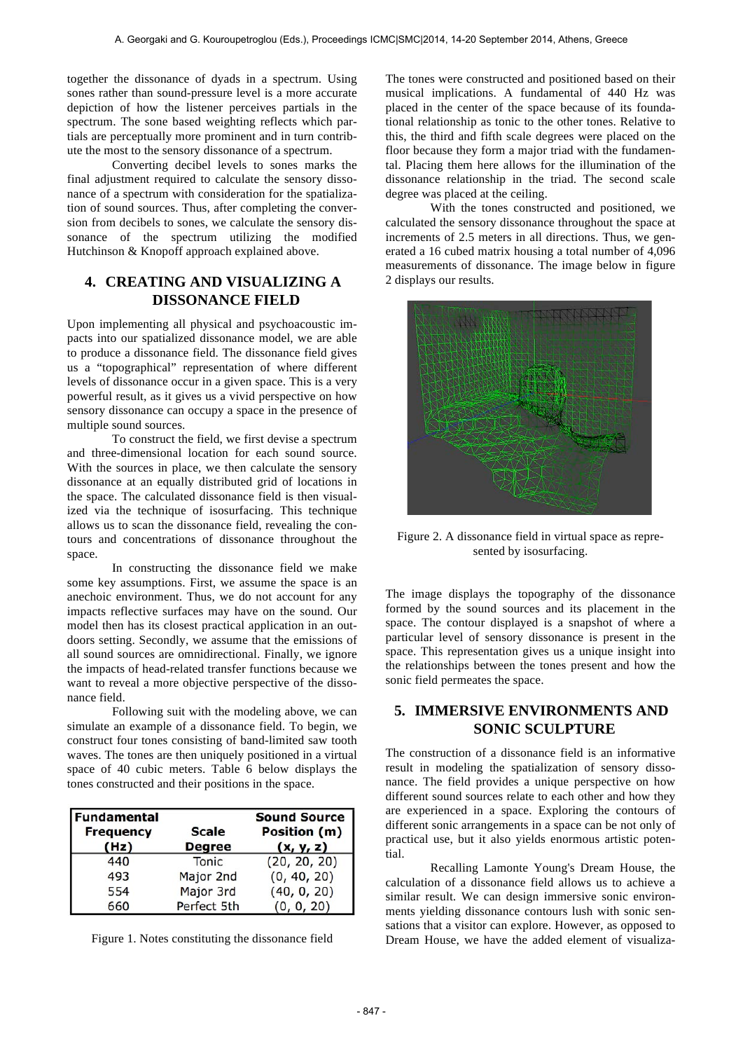together the dissonance of dyads in a spectrum. Using sones rather than sound-pressure level is a more accurate depiction of how the listener perceives partials in the spectrum. The sone based weighting reflects which partials are perceptually more prominent and in turn contribute the most to the sensory dissonance of a spectrum.

Converting decibel levels to sones marks the final adjustment required to calculate the sensory dissonance of a spectrum with consideration for the spatialization of sound sources. Thus, after completing the conversion from decibels to sones, we calculate the sensory dissonance of the spectrum utilizing the modified Hutchinson & Knopoff approach explained above.

## **4. CREATING AND VISUALIZING A DISSONANCE FIELD**

Upon implementing all physical and psychoacoustic impacts into our spatialized dissonance model, we are able to produce a dissonance field. The dissonance field gives us a "topographical" representation of where different levels of dissonance occur in a given space. This is a very powerful result, as it gives us a vivid perspective on how sensory dissonance can occupy a space in the presence of multiple sound sources.

To construct the field, we first devise a spectrum and three-dimensional location for each sound source. With the sources in place, we then calculate the sensory dissonance at an equally distributed grid of locations in the space. The calculated dissonance field is then visualized via the technique of isosurfacing. This technique allows us to scan the dissonance field, revealing the contours and concentrations of dissonance throughout the space.

In constructing the dissonance field we make some key assumptions. First, we assume the space is an anechoic environment. Thus, we do not account for any impacts reflective surfaces may have on the sound. Our model then has its closest practical application in an outdoors setting. Secondly, we assume that the emissions of all sound sources are omnidirectional. Finally, we ignore the impacts of head-related transfer functions because we want to reveal a more objective perspective of the dissonance field.

Following suit with the modeling above, we can simulate an example of a dissonance field. To begin, we construct four tones consisting of band-limited saw tooth waves. The tones are then uniquely positioned in a virtual space of 40 cubic meters. Table 6 below displays the tones constructed and their positions in the space.

| Fundamental<br><b>Frequency</b><br>(Hz) | <b>Scale</b><br><b>Degree</b> | Sound Source  <br>Position (m)<br>(x, y, z) |
|-----------------------------------------|-------------------------------|---------------------------------------------|
| 440                                     | Tonic                         | (20, 20, 20)                                |
| 493                                     | Major 2nd                     | (0, 40, 20)                                 |
| 554                                     | Major 3rd                     | (40, 0, 20)                                 |
| 660                                     | Perfect 5th                   | (0, 0, 20)                                  |

Figure 1. Notes constituting the dissonance field

The tones were constructed and positioned based on their musical implications. A fundamental of 440 Hz was placed in the center of the space because of its foundational relationship as tonic to the other tones. Relative to this, the third and fifth scale degrees were placed on the floor because they form a major triad with the fundamental. Placing them here allows for the illumination of the dissonance relationship in the triad. The second scale degree was placed at the ceiling.

With the tones constructed and positioned, we calculated the sensory dissonance throughout the space at increments of 2.5 meters in all directions. Thus, we generated a 16 cubed matrix housing a total number of 4,096 measurements of dissonance. The image below in figure 2 displays our results.



Figure 2. A dissonance field in virtual space as represented by isosurfacing.

The image displays the topography of the dissonance formed by the sound sources and its placement in the space. The contour displayed is a snapshot of where a particular level of sensory dissonance is present in the space. This representation gives us a unique insight into the relationships between the tones present and how the sonic field permeates the space.

## **5. IMMERSIVE ENVIRONMENTS AND SONIC SCULPTURE**

The construction of a dissonance field is an informative result in modeling the spatialization of sensory dissonance. The field provides a unique perspective on how different sound sources relate to each other and how they are experienced in a space. Exploring the contours of different sonic arrangements in a space can be not only of practical use, but it also yields enormous artistic potential.

Recalling Lamonte Young's Dream House, the calculation of a dissonance field allows us to achieve a similar result. We can design immersive sonic environments yielding dissonance contours lush with sonic sensations that a visitor can explore. However, as opposed to Dream House, we have the added element of visualiza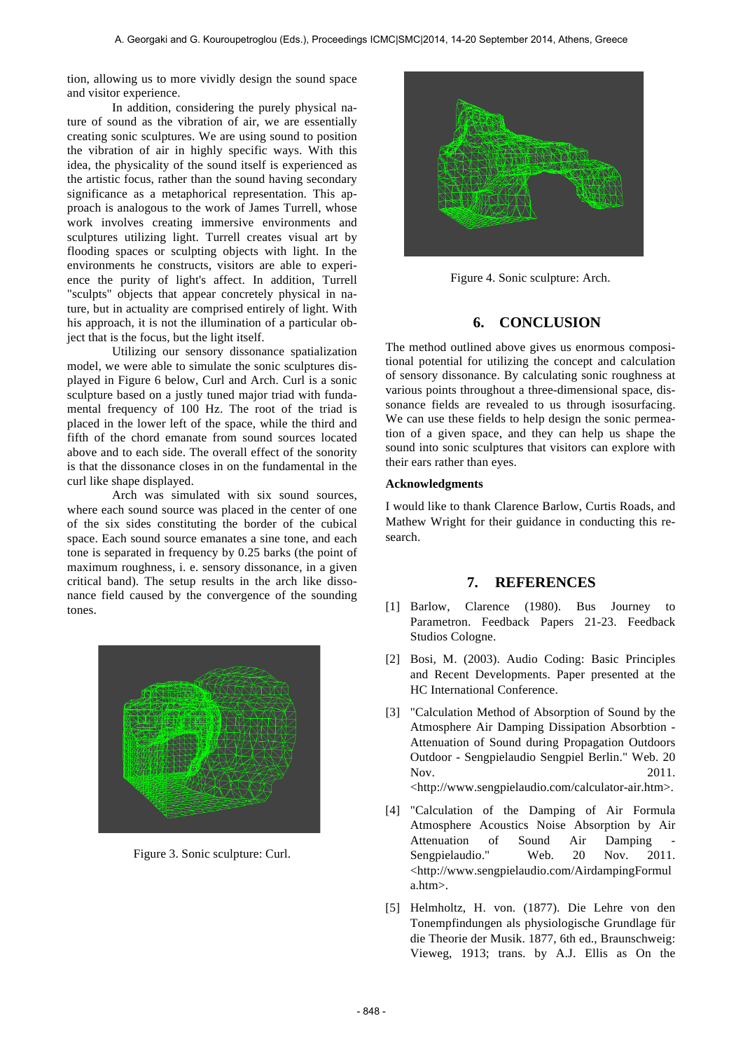tion, allowing us to more vividly design the sound space and visitor experience.

In addition, considering the purely physical nature of sound as the vibration of air, we are essentially creating sonic sculptures. We are using sound to position the vibration of air in highly specific ways. With this idea, the physicality of the sound itself is experienced as the artistic focus, rather than the sound having secondary significance as a metaphorical representation. This approach is analogous to the work of James Turrell, whose work involves creating immersive environments and sculptures utilizing light. Turrell creates visual art by flooding spaces or sculpting objects with light. In the environments he constructs, visitors are able to experience the purity of light's affect. In addition, Turrell "sculpts" objects that appear concretely physical in nature, but in actuality are comprised entirely of light. With his approach, it is not the illumination of a particular object that is the focus, but the light itself.

Utilizing our sensory dissonance spatialization model, we were able to simulate the sonic sculptures displayed in Figure 6 below, Curl and Arch. Curl is a sonic sculpture based on a justly tuned major triad with fundamental frequency of 100 Hz. The root of the triad is placed in the lower left of the space, while the third and fifth of the chord emanate from sound sources located above and to each side. The overall effect of the sonority is that the dissonance closes in on the fundamental in the curl like shape displayed.

Arch was simulated with six sound sources, where each sound source was placed in the center of one of the six sides constituting the border of the cubical space. Each sound source emanates a sine tone, and each tone is separated in frequency by 0.25 barks (the point of maximum roughness, i. e. sensory dissonance, in a given critical band). The setup results in the arch like dissonance field caused by the convergence of the sounding tones.



Figure 3. Sonic sculpture: Curl.



Figure 4. Sonic sculpture: Arch.

## **6. CONCLUSION**

The method outlined above gives us enormous compositional potential for utilizing the concept and calculation of sensory dissonance. By calculating sonic roughness at various points throughout a three-dimensional space, dissonance fields are revealed to us through isosurfacing. We can use these fields to help design the sonic permeation of a given space, and they can help us shape the sound into sonic sculptures that visitors can explore with their ears rather than eyes.

## **Acknowledgments**

I would like to thank Clarence Barlow, Curtis Roads, and Mathew Wright for their guidance in conducting this research.

## **7. REFERENCES**

- [1] Barlow, Clarence (1980). Bus Journey to Parametron. Feedback Papers 21-23. Feedback Studios Cologne.
- [2] Bosi, M. (2003). Audio Coding: Basic Principles and Recent Developments. Paper presented at the HC International Conference.
- [3] "Calculation Method of Absorption of Sound by the Atmosphere Air Damping Dissipation Absorbtion - Attenuation of Sound during Propagation Outdoors Outdoor - Sengpielaudio Sengpiel Berlin." Web. 20 Nov. 2011. <http://www.sengpielaudio.com/calculator-air.htm>.
- [4] "Calculation of the Damping of Air Formula Atmosphere Acoustics Noise Absorption by Air Attenuation of Sound Air Damping Sengpielaudio." Web. 20 Nov. 2011. <http://www.sengpielaudio.com/AirdampingFormul a.htm>.
- [5] Helmholtz, H. von. (1877). Die Lehre von den Tonempfindungen als physiologische Grundlage für die Theorie der Musik. 1877, 6th ed., Braunschweig: Vieweg, 1913; trans. by A.J. Ellis as On the